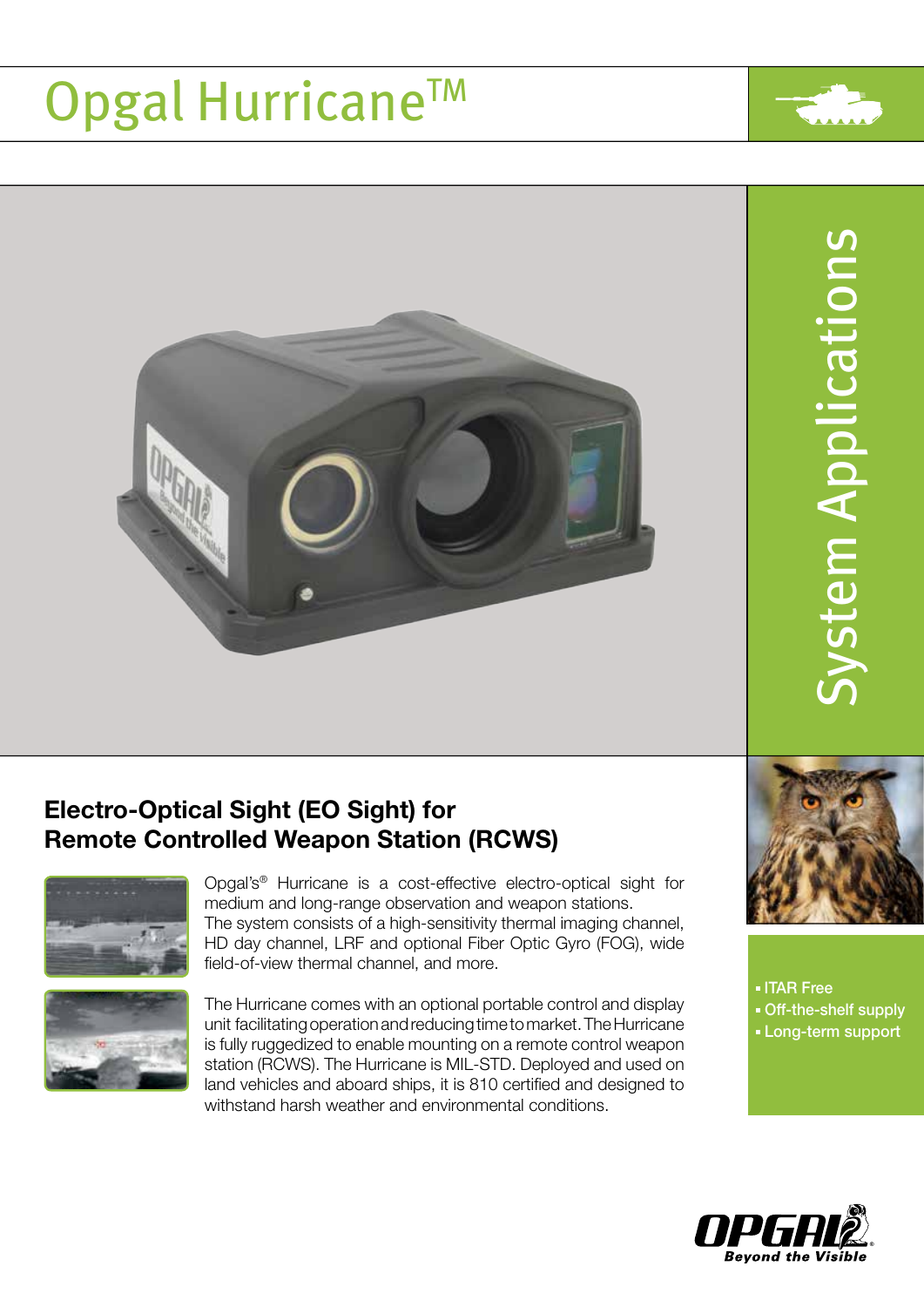# Opgal Hurricane™



## Electro-Optical Sight (EO Sight) for Remote Controlled Weapon Station (RCWS)



Opgal's® Hurricane is a cost-effective electro-optical sight for medium and long-range observation and weapon stations. The system consists of a high-sensitivity thermal imaging channel, HD day channel, LRF and optional Fiber Optic Gyro (FOG), wide field-of-view thermal channel, and more.



The Hurricane comes with an optional portable control and display unit facilitating operation and reducing time to market. The Hurricane is fully ruggedized to enable mounting on a remote control weapon station (RCWS). The Hurricane is MIL-STD. Deployed and used on land vehicles and aboard ships, it is 810 certified and designed to withstand harsh weather and environmental conditions.



ITAR Free ■ Off-the-shelf supply **Long-term support**